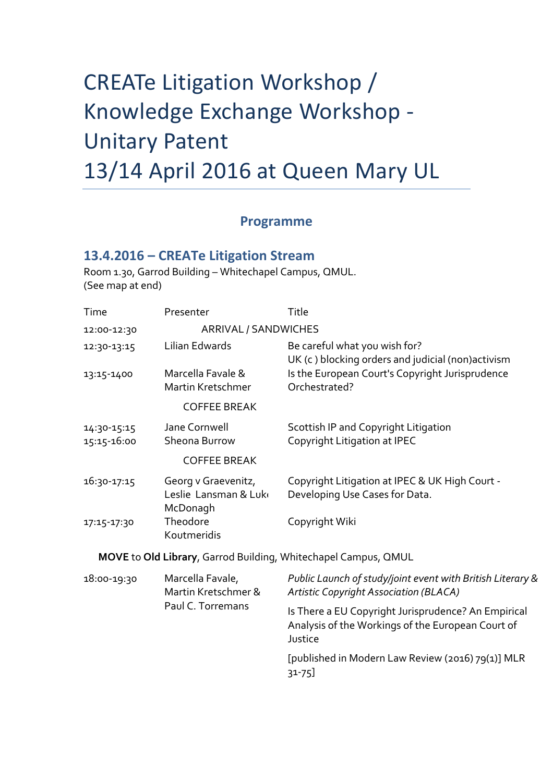## CREATe Litigation Workshop / Knowledge Exchange Workshop - Unitary Patent 13/14 April 2016 at Queen Mary UL

## **Programme**

## **13.4.2016 – CREATe Litigation Stream**

Room 1.30, Garrod Building – Whitechapel Campus, QMUL. (See map at end)

| Time                       | Presenter                                                    | Title                                                                                                               |
|----------------------------|--------------------------------------------------------------|---------------------------------------------------------------------------------------------------------------------|
| 12:00-12:30                | ARRIVAL / SANDWICHES                                         |                                                                                                                     |
| 12:30-13:15                | Lilian Edwards                                               | Be careful what you wish for?<br>UK (c) blocking orders and judicial (non)activism                                  |
| 13:15-1400                 | Marcella Favale &<br>Martin Kretschmer                       | Is the European Court's Copyright Jurisprudence<br>Orchestrated?                                                    |
|                            | <b>COFFEE BREAK</b>                                          |                                                                                                                     |
| 14:30-15:15<br>15:15-16:00 | Jane Cornwell<br>Sheona Burrow                               | Scottish IP and Copyright Litigation<br>Copyright Litigation at IPEC                                                |
|                            | <b>COFFEE BREAK</b>                                          |                                                                                                                     |
| 16:30-17:15                | Georg v Graevenitz,<br>Leslie Lansman & Luk<br>McDonagh      | Copyright Litigation at IPEC & UK High Court -<br>Developing Use Cases for Data.                                    |
| 17:15-17:30                | Theodore<br>Koutmeridis                                      | Copyright Wiki                                                                                                      |
|                            |                                                              | MOVE to Old Library, Garrod Building, Whitechapel Campus, QMUL                                                      |
| 18:00-19:30                | Marcella Favale,<br>Martin Kretschmer &<br>Paul C. Torremans | Public Launch of study/joint event with British Literary &<br>Artistic Copyright Association (BLACA)                |
|                            |                                                              | Is There a EU Copyright Jurisprudence? An Empirical<br>Analysis of the Workings of the European Court of<br>Justice |
|                            |                                                              | [published in Modern Law Review (2016) 79(1)] MLR<br>$31 - 75$                                                      |